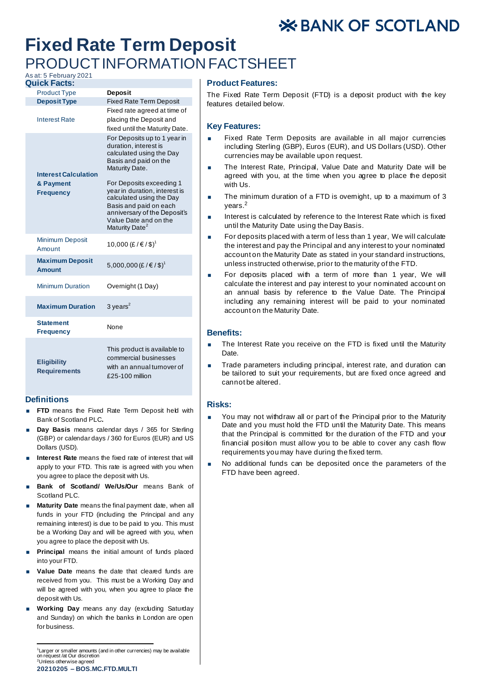# **X BANK OF SCOTLAND**

# **Fixed Rate Term Deposit** PRODUCT INFORMATION FACTSHEET

# As at: 5 February 2021

| <b>Quick Facts:</b>                                          |                                                                                                                                                                                                                                                                                                                                        |
|--------------------------------------------------------------|----------------------------------------------------------------------------------------------------------------------------------------------------------------------------------------------------------------------------------------------------------------------------------------------------------------------------------------|
| <b>Product Type</b>                                          | <b>Deposit</b>                                                                                                                                                                                                                                                                                                                         |
| <b>Deposit Type</b>                                          | <b>Fixed Rate Term Deposit</b>                                                                                                                                                                                                                                                                                                         |
| <b>Interest Rate</b>                                         | Fixed rate agreed at time of<br>placing the Deposit and<br>fixed until the Maturity Date.                                                                                                                                                                                                                                              |
| <b>Interest Calculation</b><br>& Payment<br><b>Frequency</b> | For Deposits up to 1 year in<br>duration, interest is<br>calculated using the Day<br>Basis and paid on the<br>Maturity Date.<br>For Deposits exceeding 1<br>year in duration, interest is<br>calculated using the Day<br>Basis and paid on each<br>anniversary of the Deposit's<br>Value Date and on the<br>Maturity Date <sup>2</sup> |
| <b>Minimum Deposit</b><br>Amount                             | 10,000 (£/€/\$) <sup>1</sup>                                                                                                                                                                                                                                                                                                           |
| <b>Maximum Deposit</b><br><b>Amount</b>                      | 5,000,000 (£/€/\$) <sup>1</sup>                                                                                                                                                                                                                                                                                                        |
| <b>Minimum Duration</b>                                      | Overnight (1 Day)                                                                                                                                                                                                                                                                                                                      |
| <b>Maximum Duration</b>                                      | 3 years $^2$                                                                                                                                                                                                                                                                                                                           |
| <b>Statement</b><br><b>Frequency</b>                         | None                                                                                                                                                                                                                                                                                                                                   |
| <b>Eligibility</b><br><b>Requirements</b>                    | This product is available to<br>commercial businesses<br>with an annual turnover of<br>£25-100 million                                                                                                                                                                                                                                 |

### **Definitions**

- **FTD** means the Fixed Rate Term Deposit held with Bank of Scotland PLC**.**
- **Day Basis** means calendar days / 365 for Sterling (GBP) or calendar days / 360 for Euros (EUR) and US Dollars (USD).
- **Interest Rate** means the fixed rate of interest that will apply to your FTD. This rate is agreed with you when you agree to place the deposit with Us.
- **Bank of Scotland/ We/Us/Our** means Bank of Scotland PLC.
- **Maturity Date** means the final payment date, when all funds in your FTD (including the Principal and any remaining interest) is due to be paid to you. This must be a Working Day and will be agreed with you, when you agree to place the deposit with Us.
- **Principal** means the initial amount of funds placed into your FTD.
- **Value Date** means the date that cleared funds are received from you. This must be a Working Day and will be agreed with you, when you agree to place the deposit with Us.
- **Working Day** means any day (excluding Saturday and Sunday) on which the banks in London are open for business.

**20210205 – BOS.MC.FTD.MULTI** <sup>1</sup> Larger or smaller amounts (and in other currencies) may be available on request /at Our discretion <sup>2</sup>Unless otherwise agreed

## **Product Features:**

The Fixed Rate Term Deposit (FTD) is a deposit product with the key features detailed below.

#### **Key Features:**

- Fixed Rate Term Deposits are available in all major currencies including Sterling (GBP), Euros (EUR), and US Dollars (USD). Other currencies may be available upon request.
- The Interest Rate, Principal, Value Date and Maturity Date will be agreed with you, at the time when you agree to place the deposit with  $\mathsf{H}$
- The minimum duration of a FTD is overnight, up to a maximum of 3 years.<sup>2</sup>
- **Interest is calculated by reference to the Interest Rate which is fixed** until the Maturity Date using the Day Basis.
- For deposits placed with a term of less than 1 year. We will calculate the interest and pay the Principal and any interest to your nominated account on the Maturity Date as stated in your standard instructions, unless instructed otherwise, prior to the maturity of the FTD.
- For deposits placed with a term of more than 1 year, We will calculate the interest and pay interest to your nominated account on an annual basis by reference to the Value Date. The Principal including any remaining interest will be paid to your nominated account on the Maturity Date.

### **Benefits:**

- The Interest Rate you receive on the FTD is fixed until the Maturity Date.
- Trade parameters including principal, interest rate, and duration can be tailored to suit your requirements, but are fixed once agreed and cannot be altered.

#### **Risks:**

- You may not withdraw all or part of the Principal prior to the Maturity Date and you must hold the FTD until the Maturity Date. This means that the Principal is committed for the duration of the FTD and your financial position must allow you to be able to cover any cash flow requirements you may have during the fixed term.
- No additional funds can be deposited once the parameters of the FTD have been agreed.